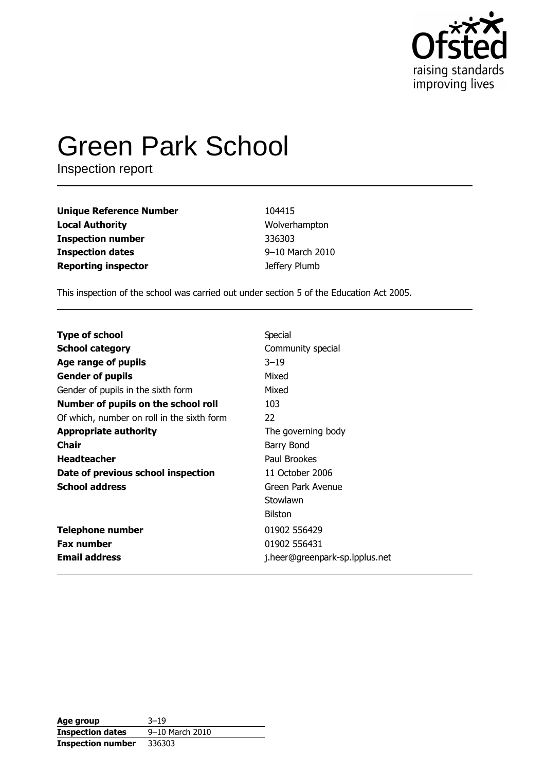

# **Green Park School**

Inspection report

| <b>Unique Reference Number</b> | 104415          |
|--------------------------------|-----------------|
| <b>Local Authority</b>         | Wolverhampton   |
| <b>Inspection number</b>       | 336303          |
| <b>Inspection dates</b>        | 9-10 March 2010 |
| <b>Reporting inspector</b>     | Jeffery Plumb   |

This inspection of the school was carried out under section 5 of the Education Act 2005.

| <b>Type of school</b>                      | Special                        |
|--------------------------------------------|--------------------------------|
| <b>School category</b>                     | Community special              |
| Age range of pupils                        | $3 - 19$                       |
| <b>Gender of pupils</b>                    | Mixed                          |
| Gender of pupils in the sixth form         | Mixed                          |
| Number of pupils on the school roll        | 103                            |
| Of which, number on roll in the sixth form | 22                             |
| <b>Appropriate authority</b>               | The governing body             |
| <b>Chair</b>                               | Barry Bond                     |
| <b>Headteacher</b>                         | Paul Brookes                   |
| Date of previous school inspection         | 11 October 2006                |
| <b>School address</b>                      | Green Park Avenue              |
|                                            | Stowlawn                       |
|                                            | Bilston                        |
| <b>Telephone number</b>                    | 01902 556429                   |
| <b>Fax number</b>                          | 01902 556431                   |
| <b>Email address</b>                       | j.heer@greenpark-sp.lpplus.net |

| Age group                | $3 - 19$        |
|--------------------------|-----------------|
| <b>Inspection dates</b>  | 9-10 March 2010 |
| <b>Inspection number</b> | 336303          |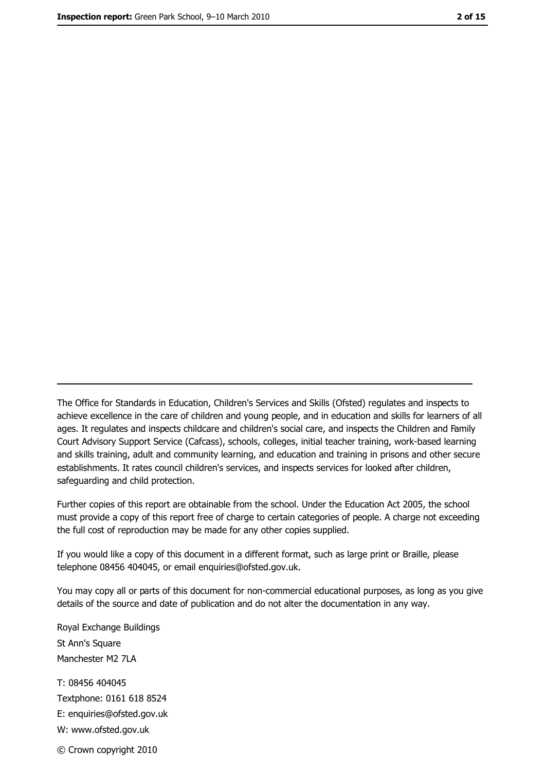The Office for Standards in Education, Children's Services and Skills (Ofsted) regulates and inspects to achieve excellence in the care of children and young people, and in education and skills for learners of all ages. It regulates and inspects childcare and children's social care, and inspects the Children and Family Court Advisory Support Service (Cafcass), schools, colleges, initial teacher training, work-based learning and skills training, adult and community learning, and education and training in prisons and other secure establishments. It rates council children's services, and inspects services for looked after children, safequarding and child protection.

Further copies of this report are obtainable from the school. Under the Education Act 2005, the school must provide a copy of this report free of charge to certain categories of people. A charge not exceeding the full cost of reproduction may be made for any other copies supplied.

If you would like a copy of this document in a different format, such as large print or Braille, please telephone 08456 404045, or email enquiries@ofsted.gov.uk.

You may copy all or parts of this document for non-commercial educational purposes, as long as you give details of the source and date of publication and do not alter the documentation in any way.

Royal Exchange Buildings St Ann's Square Manchester M2 7LA T: 08456 404045 Textphone: 0161 618 8524 E: enquiries@ofsted.gov.uk W: www.ofsted.gov.uk © Crown copyright 2010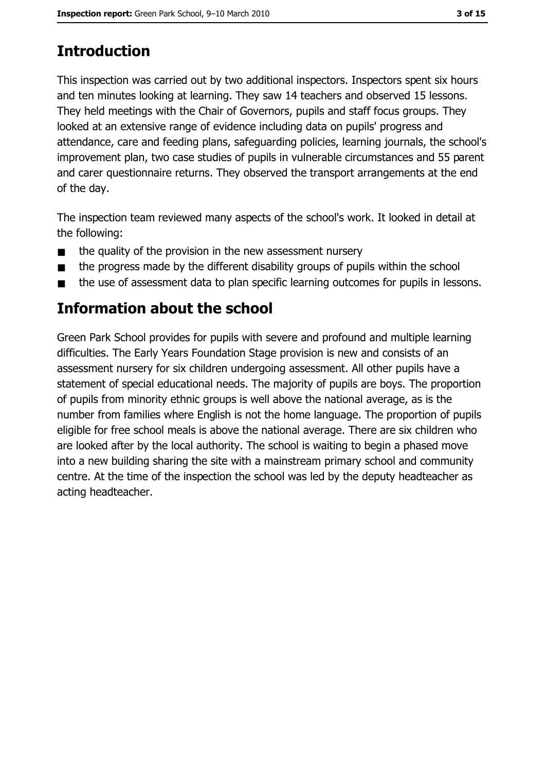# **Introduction**

This inspection was carried out by two additional inspectors. Inspectors spent six hours and ten minutes looking at learning. They saw 14 teachers and observed 15 lessons. They held meetings with the Chair of Governors, pupils and staff focus groups. They looked at an extensive range of evidence including data on pupils' progress and attendance, care and feeding plans, safeguarding policies, learning journals, the school's improvement plan, two case studies of pupils in vulnerable circumstances and 55 parent and carer questionnaire returns. They observed the transport arrangements at the end of the day.

The inspection team reviewed many aspects of the school's work. It looked in detail at the following:

- the quality of the provision in the new assessment nursery  $\blacksquare$
- the progress made by the different disability groups of pupils within the school  $\blacksquare$
- the use of assessment data to plan specific learning outcomes for pupils in lessons.  $\blacksquare$

## **Information about the school**

Green Park School provides for pupils with severe and profound and multiple learning difficulties. The Early Years Foundation Stage provision is new and consists of an assessment nursery for six children undergoing assessment. All other pupils have a statement of special educational needs. The majority of pupils are boys. The proportion of pupils from minority ethnic groups is well above the national average, as is the number from families where English is not the home language. The proportion of pupils eligible for free school meals is above the national average. There are six children who are looked after by the local authority. The school is waiting to begin a phased move into a new building sharing the site with a mainstream primary school and community centre. At the time of the inspection the school was led by the deputy headteacher as acting headteacher.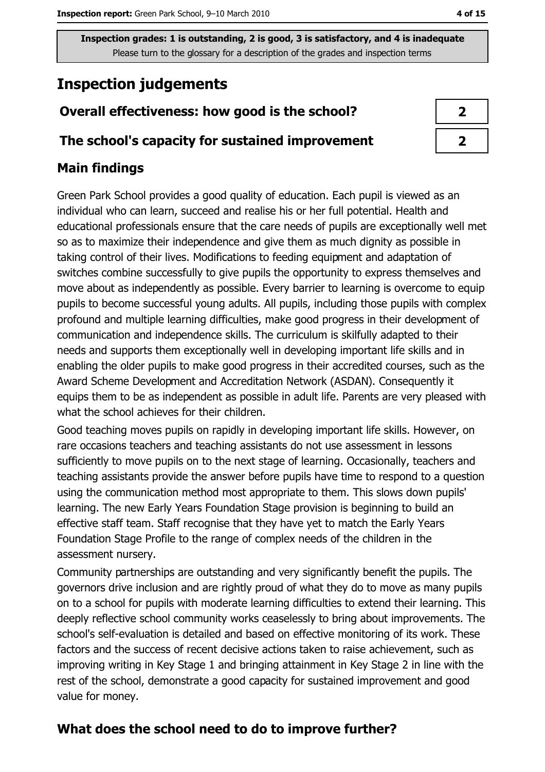# **Inspection judgements**

## Overall effectiveness: how good is the school?

#### The school's capacity for sustained improvement

## **Main findings**

Green Park School provides a good quality of education. Each pupil is viewed as an individual who can learn, succeed and realise his or her full potential. Health and educational professionals ensure that the care needs of pupils are exceptionally well met so as to maximize their independence and give them as much dignity as possible in taking control of their lives. Modifications to feeding equipment and adaptation of switches combine successfully to give pupils the opportunity to express themselves and move about as independently as possible. Every barrier to learning is overcome to equip pupils to become successful young adults. All pupils, including those pupils with complex profound and multiple learning difficulties, make good progress in their development of communication and independence skills. The curriculum is skilfully adapted to their needs and supports them exceptionally well in developing important life skills and in enabling the older pupils to make good progress in their accredited courses, such as the Award Scheme Development and Accreditation Network (ASDAN). Consequently it equips them to be as independent as possible in adult life. Parents are very pleased with what the school achieves for their children.

Good teaching moves pupils on rapidly in developing important life skills. However, on rare occasions teachers and teaching assistants do not use assessment in lessons sufficiently to move pupils on to the next stage of learning. Occasionally, teachers and teaching assistants provide the answer before pupils have time to respond to a question using the communication method most appropriate to them. This slows down pupils' learning. The new Early Years Foundation Stage provision is beginning to build an effective staff team. Staff recognise that they have yet to match the Early Years Foundation Stage Profile to the range of complex needs of the children in the assessment nursery.

Community partnerships are outstanding and very significantly benefit the pupils. The governors drive inclusion and are rightly proud of what they do to move as many pupils on to a school for pupils with moderate learning difficulties to extend their learning. This deeply reflective school community works ceaselessly to bring about improvements. The school's self-evaluation is detailed and based on effective monitoring of its work. These factors and the success of recent decisive actions taken to raise achievement, such as improving writing in Key Stage 1 and bringing attainment in Key Stage 2 in line with the rest of the school, demonstrate a good capacity for sustained improvement and good value for money.

## What does the school need to do to improve further?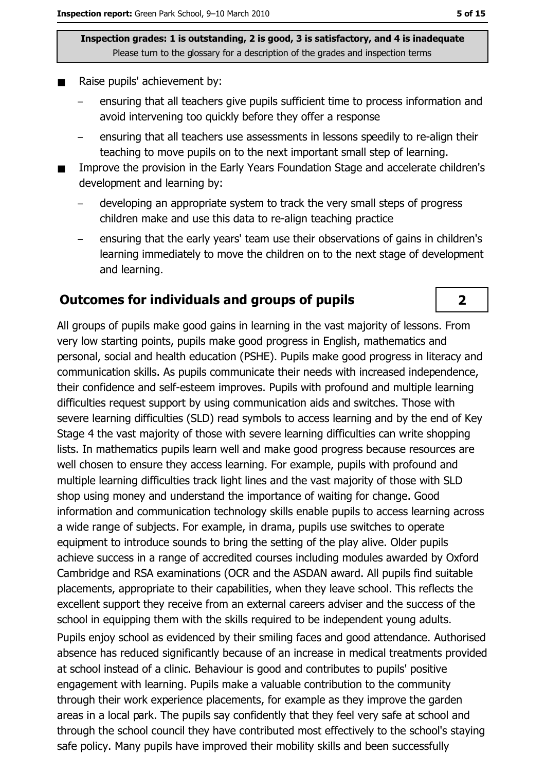- Raise pupils' achievement by:
	- ensuring that all teachers give pupils sufficient time to process information and avoid intervening too quickly before they offer a response
	- ensuring that all teachers use assessments in lessons speedily to re-align their teaching to move pupils on to the next important small step of learning.
- Improve the provision in the Early Years Foundation Stage and accelerate children's  $\blacksquare$ development and learning by:
	- developing an appropriate system to track the very small steps of progress children make and use this data to re-align teaching practice
	- ensuring that the early years' team use their observations of gains in children's learning immediately to move the children on to the next stage of development and learning.

#### Outcomes for individuals and groups of pupils

All groups of pupils make good gains in learning in the vast majority of lessons. From very low starting points, pupils make good progress in English, mathematics and personal, social and health education (PSHE). Pupils make good progress in literacy and communication skills. As pupils communicate their needs with increased independence, their confidence and self-esteem improves. Pupils with profound and multiple learning difficulties request support by using communication aids and switches. Those with severe learning difficulties (SLD) read symbols to access learning and by the end of Key Stage 4 the vast majority of those with severe learning difficulties can write shopping lists. In mathematics pupils learn well and make good progress because resources are well chosen to ensure they access learning. For example, pupils with profound and multiple learning difficulties track light lines and the vast majority of those with SLD shop using money and understand the importance of waiting for change. Good information and communication technology skills enable pupils to access learning across a wide range of subjects. For example, in drama, pupils use switches to operate equipment to introduce sounds to bring the setting of the play alive. Older pupils achieve success in a range of accredited courses including modules awarded by Oxford Cambridge and RSA examinations (OCR and the ASDAN award. All pupils find suitable placements, appropriate to their capabilities, when they leave school. This reflects the excellent support they receive from an external careers adviser and the success of the school in equipping them with the skills required to be independent young adults.

Pupils enjoy school as evidenced by their smiling faces and good attendance. Authorised absence has reduced significantly because of an increase in medical treatments provided at school instead of a clinic. Behaviour is good and contributes to pupils' positive engagement with learning. Pupils make a valuable contribution to the community through their work experience placements, for example as they improve the garden areas in a local park. The pupils say confidently that they feel very safe at school and through the school council they have contributed most effectively to the school's staying safe policy. Many pupils have improved their mobility skills and been successfully

 $\overline{2}$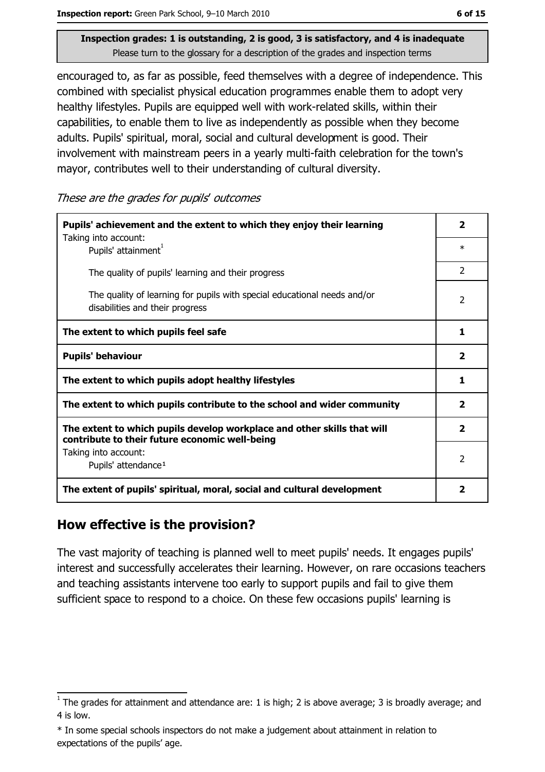encouraged to, as far as possible, feed themselves with a degree of independence. This combined with specialist physical education programmes enable them to adopt very healthy lifestyles. Pupils are equipped well with work-related skills, within their capabilities, to enable them to live as independently as possible when they become adults. Pupils' spiritual, moral, social and cultural development is good. Their involvement with mainstream peers in a yearly multi-faith celebration for the town's mayor, contributes well to their understanding of cultural diversity.

These are the grades for pupils' outcomes

| Pupils' achievement and the extent to which they enjoy their learning                                                     |                         |  |  |  |
|---------------------------------------------------------------------------------------------------------------------------|-------------------------|--|--|--|
| Taking into account:<br>Pupils' attainment <sup>1</sup>                                                                   |                         |  |  |  |
| The quality of pupils' learning and their progress                                                                        |                         |  |  |  |
| The quality of learning for pupils with special educational needs and/or<br>disabilities and their progress               |                         |  |  |  |
| The extent to which pupils feel safe                                                                                      | 1                       |  |  |  |
| <b>Pupils' behaviour</b>                                                                                                  | $\overline{\mathbf{2}}$ |  |  |  |
| The extent to which pupils adopt healthy lifestyles                                                                       | 1                       |  |  |  |
| The extent to which pupils contribute to the school and wider community                                                   |                         |  |  |  |
| The extent to which pupils develop workplace and other skills that will<br>contribute to their future economic well-being |                         |  |  |  |
| Taking into account:<br>Pupils' attendance <sup>1</sup>                                                                   | $\overline{2}$          |  |  |  |
| The extent of pupils' spiritual, moral, social and cultural development                                                   |                         |  |  |  |

#### How effective is the provision?

The vast majority of teaching is planned well to meet pupils' needs. It engages pupils' interest and successfully accelerates their learning. However, on rare occasions teachers and teaching assistants intervene too early to support pupils and fail to give them sufficient space to respond to a choice. On these few occasions pupils' learning is

 $\frac{1}{1}$  The grades for attainment and attendance are: 1 is high; 2 is above average; 3 is broadly average; and 4 is low.

<sup>\*</sup> In some special schools inspectors do not make a judgement about attainment in relation to expectations of the pupils' age.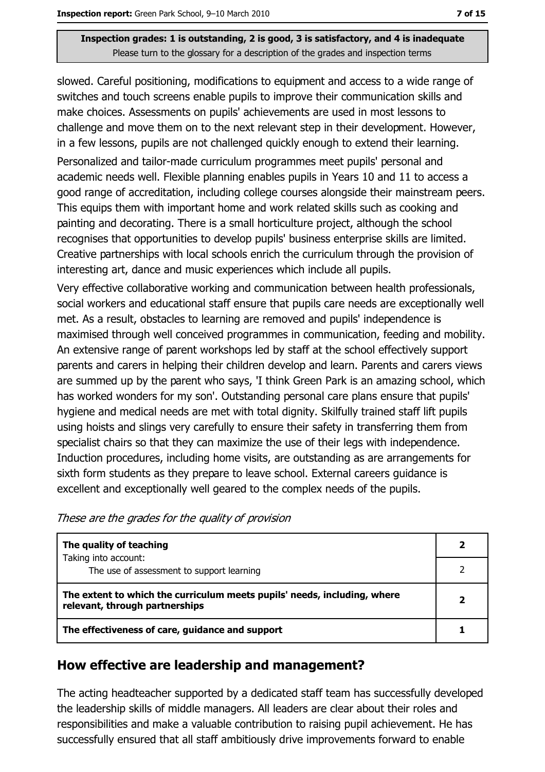slowed. Careful positioning, modifications to equipment and access to a wide range of switches and touch screens enable pupils to improve their communication skills and make choices. Assessments on pupils' achievements are used in most lessons to challenge and move them on to the next relevant step in their development. However, in a few lessons, pupils are not challenged quickly enough to extend their learning. Personalized and tailor-made curriculum programmes meet pupils' personal and academic needs well. Flexible planning enables pupils in Years 10 and 11 to access a good range of accreditation, including college courses alongside their mainstream peers. This equips them with important home and work related skills such as cooking and painting and decorating. There is a small horticulture project, although the school recognises that opportunities to develop pupils' business enterprise skills are limited. Creative partnerships with local schools enrich the curriculum through the provision of interesting art, dance and music experiences which include all pupils.

Very effective collaborative working and communication between health professionals, social workers and educational staff ensure that pupils care needs are exceptionally well met. As a result, obstacles to learning are removed and pupils' independence is maximised through well conceived programmes in communication, feeding and mobility. An extensive range of parent workshops led by staff at the school effectively support parents and carers in helping their children develop and learn. Parents and carers views are summed up by the parent who says, 'I think Green Park is an amazing school, which has worked wonders for my son'. Outstanding personal care plans ensure that pupils' hygiene and medical needs are met with total dignity. Skilfully trained staff lift pupils using hoists and slings very carefully to ensure their safety in transferring them from specialist chairs so that they can maximize the use of their legs with independence. Induction procedures, including home visits, are outstanding as are arrangements for sixth form students as they prepare to leave school. External careers guidance is excellent and exceptionally well geared to the complex needs of the pupils.

| The quality of teaching                                                                                    |  |  |
|------------------------------------------------------------------------------------------------------------|--|--|
| Taking into account:<br>The use of assessment to support learning                                          |  |  |
| The extent to which the curriculum meets pupils' needs, including, where<br>relevant, through partnerships |  |  |
| The effectiveness of care, guidance and support                                                            |  |  |

#### How effective are leadership and management?

The acting headteacher supported by a dedicated staff team has successfully developed the leadership skills of middle managers. All leaders are clear about their roles and responsibilities and make a valuable contribution to raising pupil achievement. He has successfully ensured that all staff ambitiously drive improvements forward to enable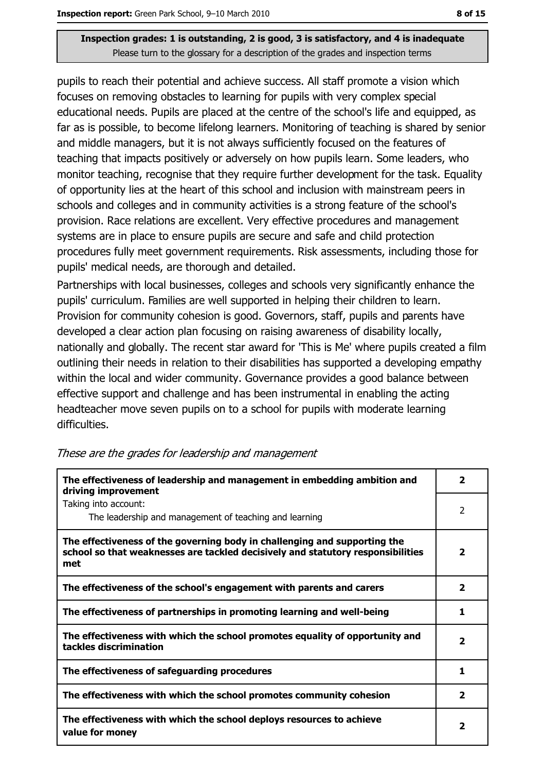pupils to reach their potential and achieve success. All staff promote a vision which focuses on removing obstacles to learning for pupils with very complex special educational needs. Pupils are placed at the centre of the school's life and equipped, as far as is possible, to become lifelong learners. Monitoring of teaching is shared by senior and middle managers, but it is not always sufficiently focused on the features of teaching that impacts positively or adversely on how pupils learn. Some leaders, who monitor teaching, recognise that they require further development for the task. Equality of opportunity lies at the heart of this school and inclusion with mainstream peers in schools and colleges and in community activities is a strong feature of the school's provision. Race relations are excellent. Very effective procedures and management systems are in place to ensure pupils are secure and safe and child protection procedures fully meet government requirements. Risk assessments, including those for pupils' medical needs, are thorough and detailed.

Partnerships with local businesses, colleges and schools very significantly enhance the pupils' curriculum. Families are well supported in helping their children to learn. Provision for community cohesion is good. Governors, staff, pupils and parents have developed a clear action plan focusing on raising awareness of disability locally, nationally and globally. The recent star award for 'This is Me' where pupils created a film outlining their needs in relation to their disabilities has supported a developing empathy within the local and wider community. Governance provides a good balance between effective support and challenge and has been instrumental in enabling the acting headteacher move seven pupils on to a school for pupils with moderate learning difficulties.

| The effectiveness of leadership and management in embedding ambition and<br>driving improvement                                                                     |                         |  |
|---------------------------------------------------------------------------------------------------------------------------------------------------------------------|-------------------------|--|
| Taking into account:<br>The leadership and management of teaching and learning                                                                                      | $\overline{2}$          |  |
| The effectiveness of the governing body in challenging and supporting the<br>school so that weaknesses are tackled decisively and statutory responsibilities<br>met | 2                       |  |
| The effectiveness of the school's engagement with parents and carers                                                                                                | $\overline{\mathbf{2}}$ |  |
| The effectiveness of partnerships in promoting learning and well-being                                                                                              | 1                       |  |
| The effectiveness with which the school promotes equality of opportunity and<br>tackles discrimination                                                              | 2                       |  |
| The effectiveness of safeguarding procedures                                                                                                                        | 1                       |  |
| The effectiveness with which the school promotes community cohesion                                                                                                 | $\overline{\mathbf{2}}$ |  |
| The effectiveness with which the school deploys resources to achieve<br>value for money                                                                             | 2                       |  |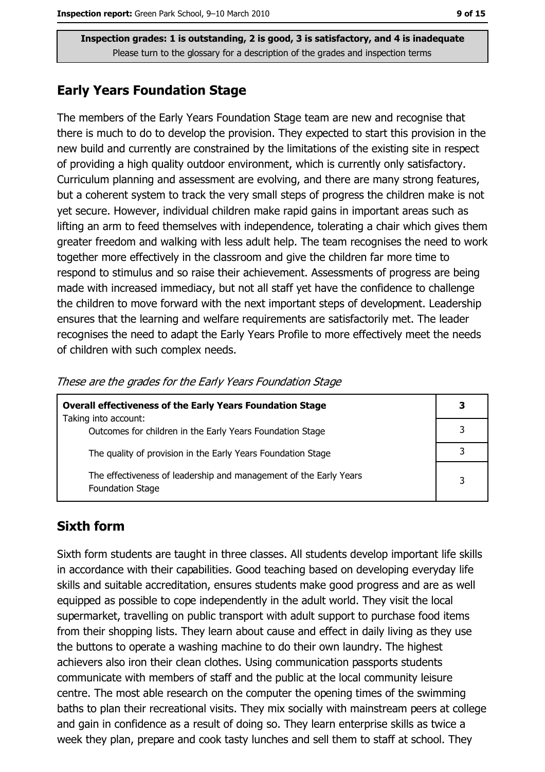#### **Early Years Foundation Stage**

The members of the Early Years Foundation Stage team are new and recognise that there is much to do to develop the provision. They expected to start this provision in the new build and currently are constrained by the limitations of the existing site in respect of providing a high quality outdoor environment, which is currently only satisfactory. Curriculum planning and assessment are evolving, and there are many strong features, but a coherent system to track the very small steps of progress the children make is not yet secure. However, individual children make rapid gains in important areas such as lifting an arm to feed themselves with independence, tolerating a chair which gives them greater freedom and walking with less adult help. The team recognises the need to work together more effectively in the classroom and give the children far more time to respond to stimulus and so raise their achievement. Assessments of progress are being made with increased immediacy, but not all staff yet have the confidence to challenge the children to move forward with the next important steps of development. Leadership ensures that the learning and welfare requirements are satisfactorily met. The leader recognises the need to adapt the Early Years Profile to more effectively meet the needs of children with such complex needs.

| <b>Overall effectiveness of the Early Years Foundation Stage</b><br>Taking into account:     |   |  |
|----------------------------------------------------------------------------------------------|---|--|
|                                                                                              |   |  |
| Outcomes for children in the Early Years Foundation Stage                                    |   |  |
| The quality of provision in the Early Years Foundation Stage                                 |   |  |
| The effectiveness of leadership and management of the Early Years<br><b>Foundation Stage</b> | 3 |  |

| These are the grades for the Early Years Foundation Stage |  |  |
|-----------------------------------------------------------|--|--|
|-----------------------------------------------------------|--|--|

## **Sixth form**

Sixth form students are taught in three classes. All students develop important life skills in accordance with their capabilities. Good teaching based on developing everyday life skills and suitable accreditation, ensures students make good progress and are as well equipped as possible to cope independently in the adult world. They visit the local supermarket, travelling on public transport with adult support to purchase food items from their shopping lists. They learn about cause and effect in daily living as they use the buttons to operate a washing machine to do their own laundry. The highest achievers also iron their clean clothes. Using communication passports students communicate with members of staff and the public at the local community leisure centre. The most able research on the computer the opening times of the swimming baths to plan their recreational visits. They mix socially with mainstream peers at college and gain in confidence as a result of doing so. They learn enterprise skills as twice a week they plan, prepare and cook tasty lunches and sell them to staff at school. They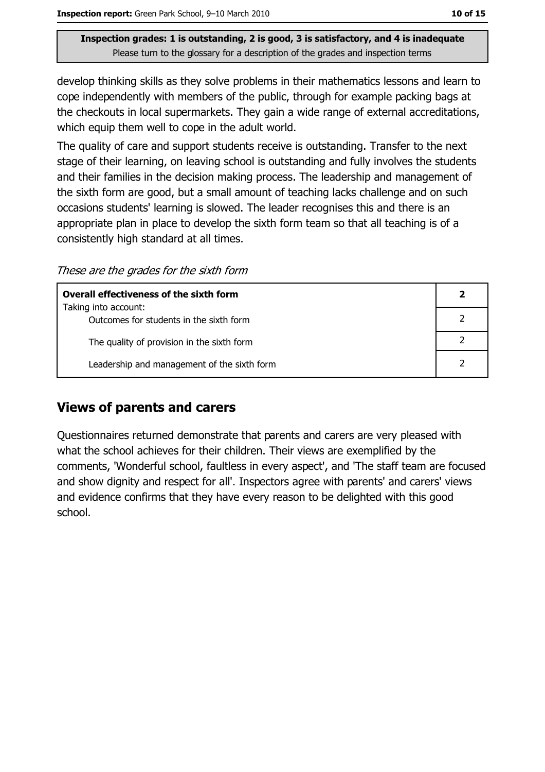develop thinking skills as they solve problems in their mathematics lessons and learn to cope independently with members of the public, through for example packing bags at the checkouts in local supermarkets. They gain a wide range of external accreditations, which equip them well to cope in the adult world.

The quality of care and support students receive is outstanding. Transfer to the next stage of their learning, on leaving school is outstanding and fully involves the students and their families in the decision making process. The leadership and management of the sixth form are good, but a small amount of teaching lacks challenge and on such occasions students' learning is slowed. The leader recognises this and there is an appropriate plan in place to develop the sixth form team so that all teaching is of a consistently high standard at all times.

These are the grades for the sixth form

| Overall effectiveness of the sixth form                         |  |  |  |
|-----------------------------------------------------------------|--|--|--|
| Taking into account:<br>Outcomes for students in the sixth form |  |  |  |
|                                                                 |  |  |  |
| The quality of provision in the sixth form                      |  |  |  |
| Leadership and management of the sixth form                     |  |  |  |

#### **Views of parents and carers**

Questionnaires returned demonstrate that parents and carers are very pleased with what the school achieves for their children. Their views are exemplified by the comments, 'Wonderful school, faultless in every aspect', and 'The staff team are focused and show dignity and respect for all'. Inspectors agree with parents' and carers' views and evidence confirms that they have every reason to be delighted with this good school.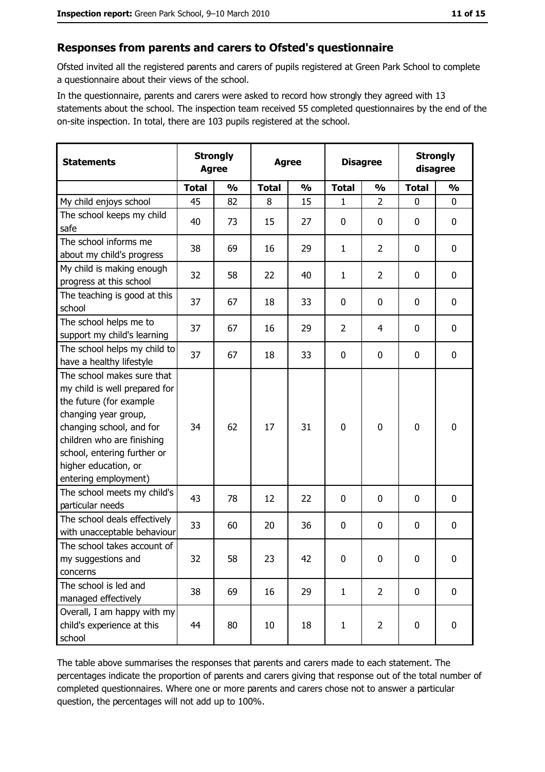#### Responses from parents and carers to Ofsted's questionnaire

Ofsted invited all the registered parents and carers of pupils registered at Green Park School to complete a questionnaire about their views of the school.

In the questionnaire, parents and carers were asked to record how strongly they agreed with 13 statements about the school. The inspection team received 55 completed questionnaires by the end of the on-site inspection. In total, there are 103 pupils registered at the school.

| <b>Statements</b>                                                                                                                                                                                                                                       | <b>Strongly</b><br><b>Agree</b> |               | <b>Agree</b> |               |                | <b>Disagree</b> |              | <b>Strongly</b><br>disagree |
|---------------------------------------------------------------------------------------------------------------------------------------------------------------------------------------------------------------------------------------------------------|---------------------------------|---------------|--------------|---------------|----------------|-----------------|--------------|-----------------------------|
|                                                                                                                                                                                                                                                         | <b>Total</b>                    | $\frac{1}{2}$ | <b>Total</b> | $\frac{0}{0}$ | <b>Total</b>   | $\frac{0}{0}$   | <b>Total</b> | $\frac{0}{0}$               |
| My child enjoys school                                                                                                                                                                                                                                  | 45                              | 82            | 8            | 15            | 1              | $\overline{2}$  | 0            | 0                           |
| The school keeps my child<br>safe                                                                                                                                                                                                                       | 40                              | 73            | 15           | 27            | $\bf{0}$       | 0               | 0            | 0                           |
| The school informs me<br>about my child's progress                                                                                                                                                                                                      | 38                              | 69            | 16           | 29            | $\mathbf{1}$   | $\overline{2}$  | 0            | 0                           |
| My child is making enough<br>progress at this school                                                                                                                                                                                                    | 32                              | 58            | 22           | 40            | $\mathbf{1}$   | $\overline{2}$  | 0            | $\mathbf 0$                 |
| The teaching is good at this<br>school                                                                                                                                                                                                                  | 37                              | 67            | 18           | 33            | $\mathbf 0$    | 0               | 0            | $\mathbf 0$                 |
| The school helps me to<br>support my child's learning                                                                                                                                                                                                   | 37                              | 67            | 16           | 29            | $\overline{2}$ | 4               | 0            | $\mathbf 0$                 |
| The school helps my child to<br>have a healthy lifestyle                                                                                                                                                                                                | 37                              | 67            | 18           | 33            | $\bf{0}$       | 0               | 0            | 0                           |
| The school makes sure that<br>my child is well prepared for<br>the future (for example<br>changing year group,<br>changing school, and for<br>children who are finishing<br>school, entering further or<br>higher education, or<br>entering employment) | 34                              | 62            | 17           | 31            | $\mathbf 0$    | 0               | 0            | $\mathbf 0$                 |
| The school meets my child's<br>particular needs                                                                                                                                                                                                         | 43                              | 78            | 12           | 22            | 0              | 0               | 0            | 0                           |
| The school deals effectively<br>with unacceptable behaviour                                                                                                                                                                                             | 33                              | 60            | 20           | 36            | $\mathbf 0$    | 0               | 0            | 0                           |
| The school takes account of<br>my suggestions and<br>concerns                                                                                                                                                                                           | 32                              | 58            | 23           | 42            | 0              | 0               | 0            | 0                           |
| The school is led and<br>managed effectively                                                                                                                                                                                                            | 38                              | 69            | 16           | 29            | $\mathbf{1}$   | $\overline{2}$  | 0            | 0                           |
| Overall, I am happy with my<br>child's experience at this<br>school                                                                                                                                                                                     | 44                              | 80            | 10           | 18            | $\mathbf{1}$   | $\overline{2}$  | 0            | $\mathbf 0$                 |

The table above summarises the responses that parents and carers made to each statement. The percentages indicate the proportion of parents and carers giving that response out of the total number of completed questionnaires. Where one or more parents and carers chose not to answer a particular question, the percentages will not add up to 100%.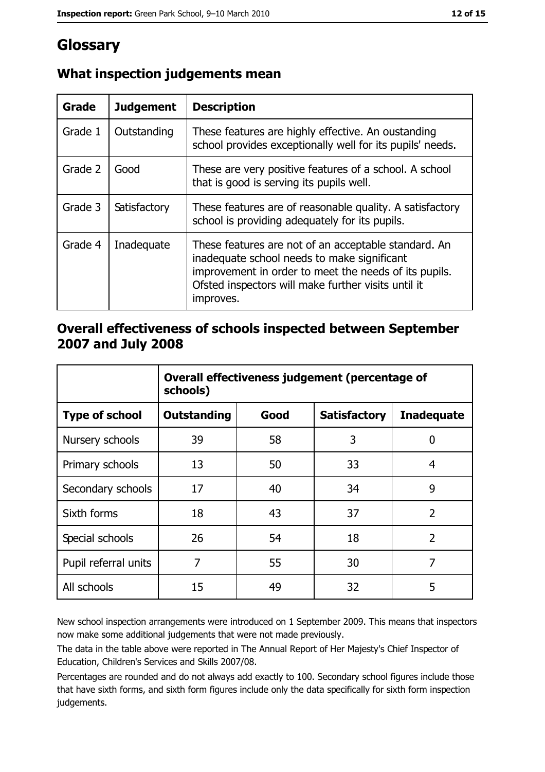# Glossary

| Grade   | <b>Judgement</b> | <b>Description</b>                                                                                                                                                                                                               |  |
|---------|------------------|----------------------------------------------------------------------------------------------------------------------------------------------------------------------------------------------------------------------------------|--|
| Grade 1 | Outstanding      | These features are highly effective. An oustanding<br>school provides exceptionally well for its pupils' needs.                                                                                                                  |  |
| Grade 2 | Good             | These are very positive features of a school. A school<br>that is good is serving its pupils well.                                                                                                                               |  |
| Grade 3 | Satisfactory     | These features are of reasonable quality. A satisfactory<br>school is providing adequately for its pupils.                                                                                                                       |  |
| Grade 4 | Inadequate       | These features are not of an acceptable standard. An<br>inadequate school needs to make significant<br>improvement in order to meet the needs of its pupils.<br>Ofsted inspectors will make further visits until it<br>improves. |  |

## What inspection judgements mean

#### Overall effectiveness of schools inspected between September 2007 and July 2008

|                       | Overall effectiveness judgement (percentage of<br>schools) |      |                     |                   |  |  |
|-----------------------|------------------------------------------------------------|------|---------------------|-------------------|--|--|
| <b>Type of school</b> | <b>Outstanding</b>                                         | Good | <b>Satisfactory</b> | <b>Inadequate</b> |  |  |
| Nursery schools       | 39                                                         | 58   | 3                   | 0                 |  |  |
| Primary schools       | 13                                                         | 50   | 33                  | 4                 |  |  |
| Secondary schools     | 17                                                         | 40   | 34                  | 9                 |  |  |
| Sixth forms           | 18                                                         | 43   | 37                  | $\overline{2}$    |  |  |
| Special schools       | 26                                                         | 54   | 18                  | $\overline{2}$    |  |  |
| Pupil referral units  | 7                                                          | 55   | 30                  | 7                 |  |  |
| All schools           | 15                                                         | 49   | 32                  | 5                 |  |  |

New school inspection arrangements were introduced on 1 September 2009. This means that inspectors now make some additional judgements that were not made previously.

The data in the table above were reported in The Annual Report of Her Majesty's Chief Inspector of Education, Children's Services and Skills 2007/08.

Percentages are rounded and do not always add exactly to 100. Secondary school figures include those that have sixth forms, and sixth form figures include only the data specifically for sixth form inspection judgements.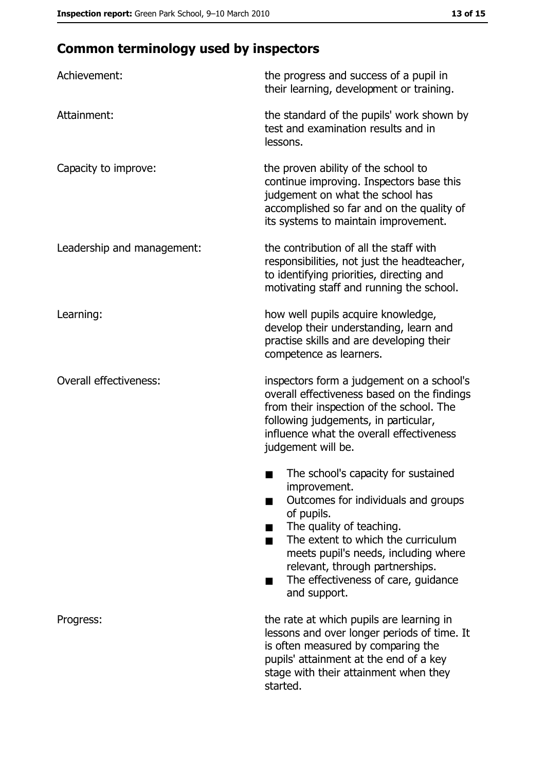# **Common terminology used by inspectors**

| Achievement:                  | the progress and success of a pupil in<br>their learning, development or training.                                                                                                                                                                                                                                |  |  |
|-------------------------------|-------------------------------------------------------------------------------------------------------------------------------------------------------------------------------------------------------------------------------------------------------------------------------------------------------------------|--|--|
| Attainment:                   | the standard of the pupils' work shown by<br>test and examination results and in<br>lessons.                                                                                                                                                                                                                      |  |  |
| Capacity to improve:          | the proven ability of the school to<br>continue improving. Inspectors base this<br>judgement on what the school has<br>accomplished so far and on the quality of<br>its systems to maintain improvement.                                                                                                          |  |  |
| Leadership and management:    | the contribution of all the staff with<br>responsibilities, not just the headteacher,<br>to identifying priorities, directing and<br>motivating staff and running the school.                                                                                                                                     |  |  |
| Learning:                     | how well pupils acquire knowledge,<br>develop their understanding, learn and<br>practise skills and are developing their<br>competence as learners.                                                                                                                                                               |  |  |
| <b>Overall effectiveness:</b> | inspectors form a judgement on a school's<br>overall effectiveness based on the findings<br>from their inspection of the school. The<br>following judgements, in particular,<br>influence what the overall effectiveness<br>judgement will be.                                                                    |  |  |
|                               | The school's capacity for sustained<br>improvement.<br>Outcomes for individuals and groups<br>of pupils.<br>The quality of teaching.<br>The extent to which the curriculum<br>meets pupil's needs, including where<br>relevant, through partnerships.<br>The effectiveness of care, guidance<br>▄<br>and support. |  |  |
| Progress:                     | the rate at which pupils are learning in<br>lessons and over longer periods of time. It<br>is often measured by comparing the<br>pupils' attainment at the end of a key<br>stage with their attainment when they<br>started.                                                                                      |  |  |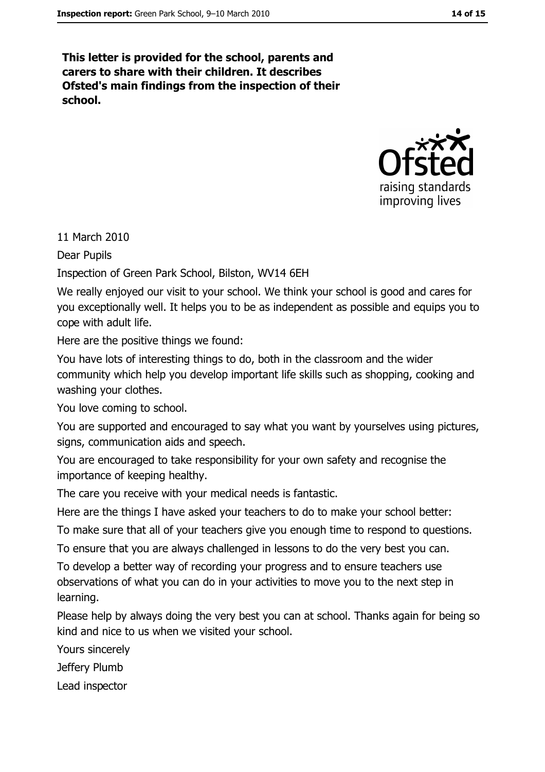This letter is provided for the school, parents and carers to share with their children. It describes Ofsted's main findings from the inspection of their school.



11 March 2010

**Dear Pupils** 

Inspection of Green Park School, Bilston, WV14 6EH

We really enjoyed our visit to your school. We think your school is good and cares for you exceptionally well. It helps you to be as independent as possible and equips you to cope with adult life.

Here are the positive things we found:

You have lots of interesting things to do, both in the classroom and the wider community which help you develop important life skills such as shopping, cooking and washing your clothes.

You love coming to school.

You are supported and encouraged to say what you want by yourselves using pictures, signs, communication aids and speech.

You are encouraged to take responsibility for your own safety and recognise the importance of keeping healthy.

The care you receive with your medical needs is fantastic.

Here are the things I have asked your teachers to do to make your school better:

To make sure that all of your teachers give you enough time to respond to questions.

To ensure that you are always challenged in lessons to do the very best you can.

To develop a better way of recording your progress and to ensure teachers use observations of what you can do in your activities to move you to the next step in learning.

Please help by always doing the very best you can at school. Thanks again for being so kind and nice to us when we visited your school.

Yours sincerely

Jeffery Plumb

Lead inspector